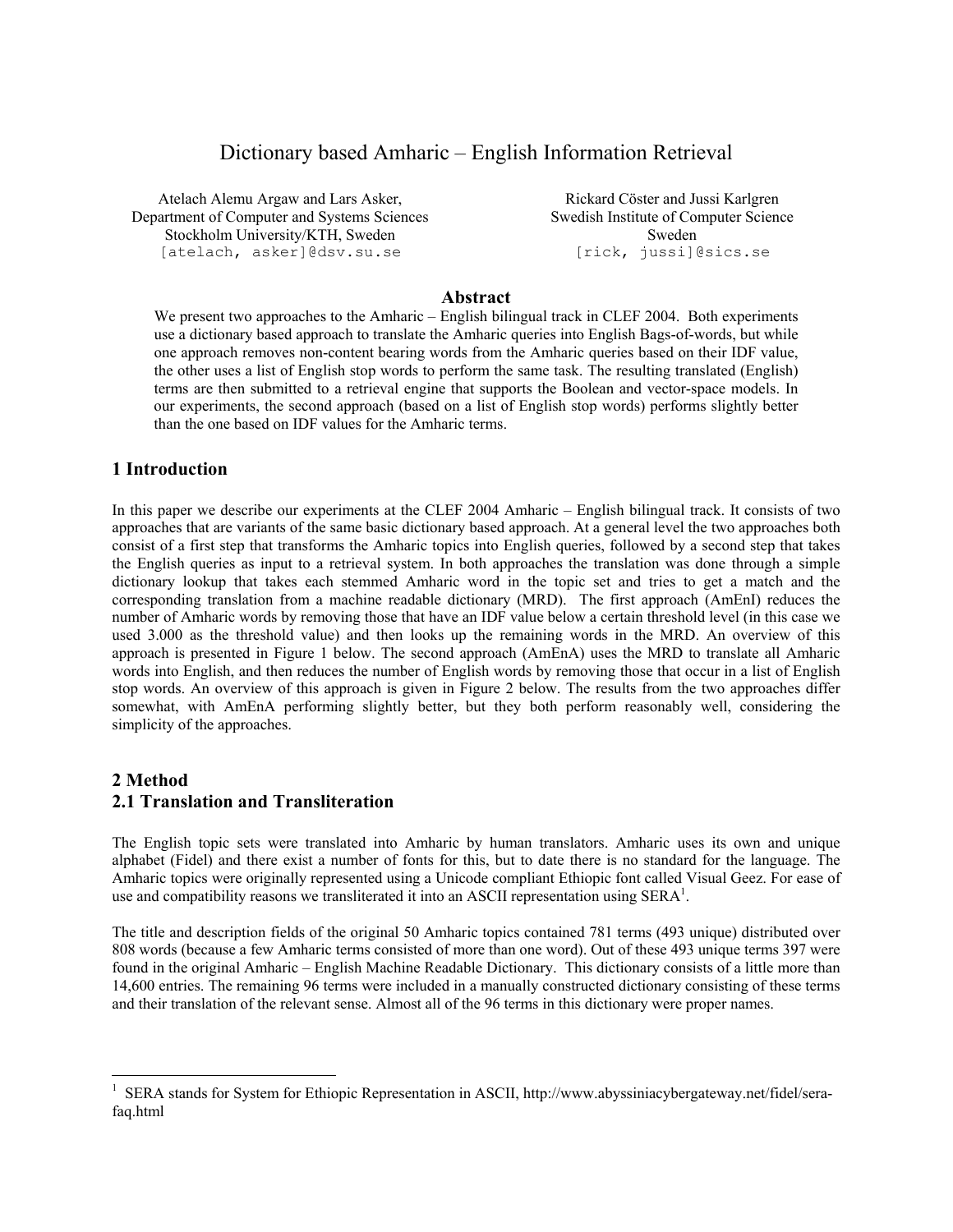# Dictionary based Amharic – English Information Retrieval

Atelach Alemu Argaw and Lars Asker, Department of Computer and Systems Sciences Stockholm University/KTH, Sweden [atelach, asker]@dsv.su.se

Rickard Cöster and Jussi Karlgren Swedish Institute of Computer Science Sweden [rick, jussi]@sics.se

#### **Abstract**

We present two approaches to the Amharic – English bilingual track in CLEF 2004. Both experiments use a dictionary based approach to translate the Amharic queries into English Bags-of-words, but while one approach removes non-content bearing words from the Amharic queries based on their IDF value, the other uses a list of English stop words to perform the same task. The resulting translated (English) terms are then submitted to a retrieval engine that supports the Boolean and vector-space models. In our experiments, the second approach (based on a list of English stop words) performs slightly better than the one based on IDF values for the Amharic terms.

#### **1 Introduction**

 $\overline{a}$ 

In this paper we describe our experiments at the CLEF 2004 Amharic – English bilingual track. It consists of two approaches that are variants of the same basic dictionary based approach. At a general level the two approaches both consist of a first step that transforms the Amharic topics into English queries, followed by a second step that takes the English queries as input to a retrieval system. In both approaches the translation was done through a simple dictionary lookup that takes each stemmed Amharic word in the topic set and tries to get a match and the corresponding translation from a machine readable dictionary (MRD). The first approach (AmEnI) reduces the number of Amharic words by removing those that have an IDF value below a certain threshold level (in this case we used 3.000 as the threshold value) and then looks up the remaining words in the MRD. An overview of this approach is presented in Figure 1 below. The second approach (AmEnA) uses the MRD to translate all Amharic words into English, and then reduces the number of English words by removing those that occur in a list of English stop words. An overview of this approach is given in Figure 2 below. The results from the two approaches differ somewhat, with AmEnA performing slightly better, but they both perform reasonably well, considering the simplicity of the approaches.

# **2 Method 2.1 Translation and Transliteration**

The English topic sets were translated into Amharic by human translators. Amharic uses its own and unique alphabet (Fidel) and there exist a number of fonts for this, but to date there is no standard for the language. The Amharic topics were originally represented using a Unicode compliant Ethiopic font called Visual Geez. For ease of use and compatibility reasons we transliterated it into an ASCII representation using SERA<sup>1</sup>.

The title and description fields of the original 50 Amharic topics contained 781 terms (493 unique) distributed over 808 words (because a few Amharic terms consisted of more than one word). Out of these 493 unique terms 397 were found in the original Amharic – English Machine Readable Dictionary. This dictionary consists of a little more than 14,600 entries. The remaining 96 terms were included in a manually constructed dictionary consisting of these terms and their translation of the relevant sense. Almost all of the 96 terms in this dictionary were proper names.

<sup>&</sup>lt;sup>1</sup> SERA stands for System for Ethiopic Representation in ASCII, http://www.abyssiniacybergateway.net/fidel/serafaq.html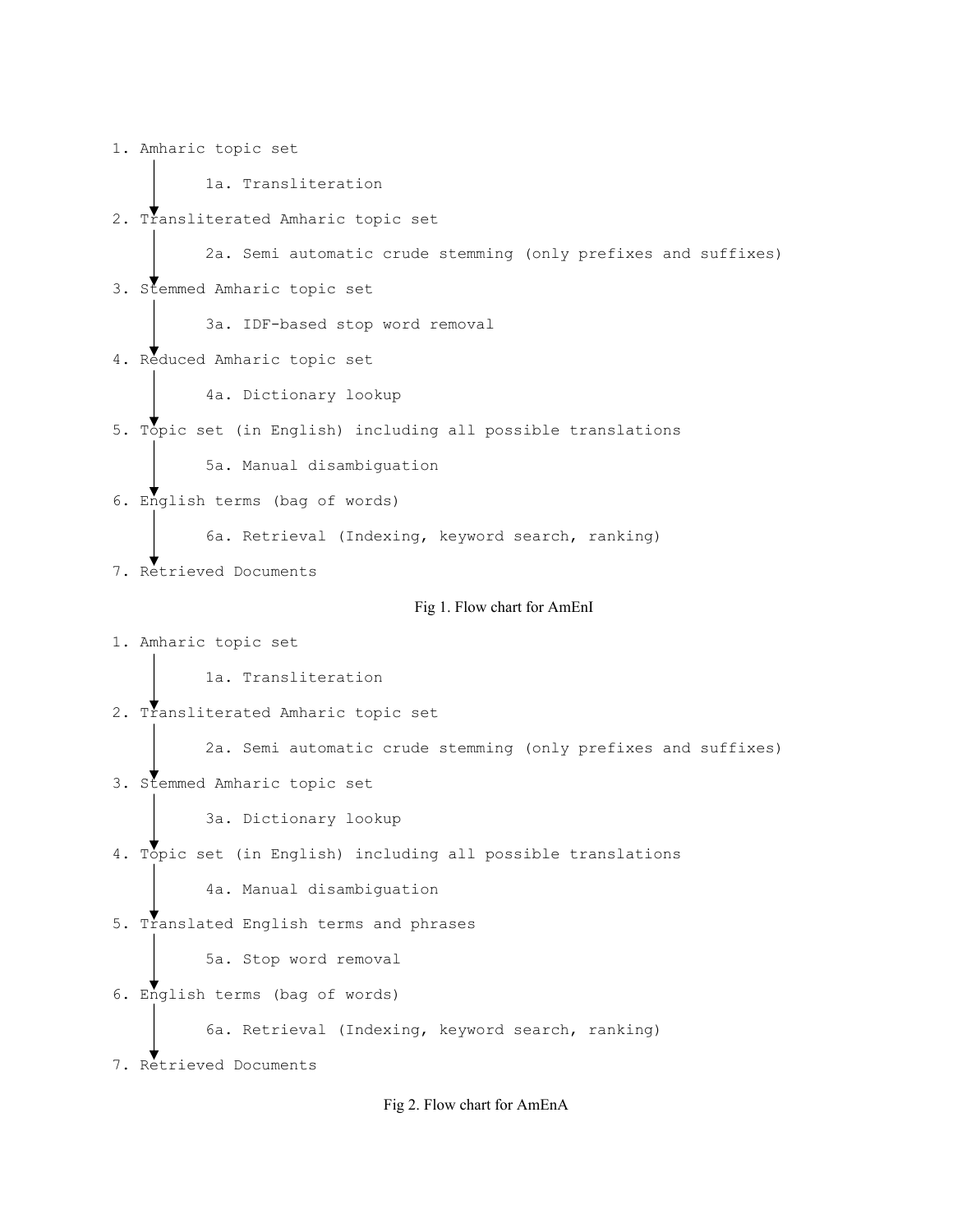1. Amharic topic set 1a. Transliteration 2. Transliterated Amharic topic set 2a. Semi automatic crude stemming (only prefixes and suffixes) 3. Stemmed Amharic topic set 3a. IDF-based stop word removal 4. Reduced Amharic topic set 4a. Dictionary lookup 5. Topic set (in English) including all possible translations 5a. Manual disambiguation 6. English terms (bag of words) 6a. Retrieval (Indexing, keyword search, ranking) 7. Retrieved Documents Fig 1. Flow chart for AmEnI 1. Amharic topic set 1a. Transliteration 2. Transliterated Amharic topic set 2a. Semi automatic crude stemming (only prefixes and suffixes) 3. Stemmed Amharic topic set 3a. Dictionary lookup 4. Topic set (in English) including all possible translations 4a. Manual disambiguation 5. Translated English terms and phrases 5a. Stop word removal 6. English terms (bag of words) 6a. Retrieval (Indexing, keyword search, ranking) 7. Retrieved Documents

Fig 2. Flow chart for AmEnA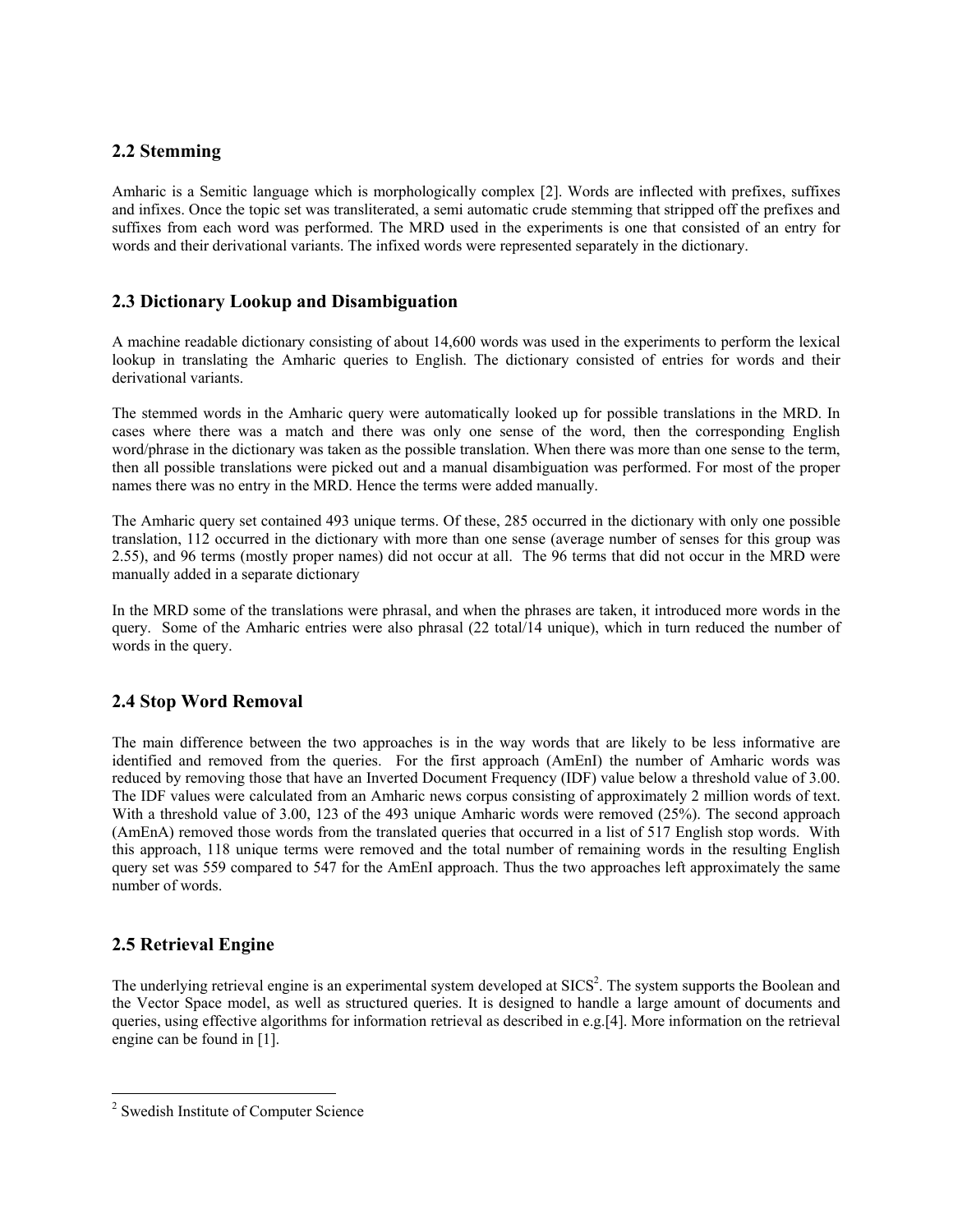#### **2.2 Stemming**

Amharic is a Semitic language which is morphologically complex [2]. Words are inflected with prefixes, suffixes and infixes. Once the topic set was transliterated, a semi automatic crude stemming that stripped off the prefixes and suffixes from each word was performed. The MRD used in the experiments is one that consisted of an entry for words and their derivational variants. The infixed words were represented separately in the dictionary.

### **2.3 Dictionary Lookup and Disambiguation**

A machine readable dictionary consisting of about 14,600 words was used in the experiments to perform the lexical lookup in translating the Amharic queries to English. The dictionary consisted of entries for words and their derivational variants.

The stemmed words in the Amharic query were automatically looked up for possible translations in the MRD. In cases where there was a match and there was only one sense of the word, then the corresponding English word/phrase in the dictionary was taken as the possible translation. When there was more than one sense to the term, then all possible translations were picked out and a manual disambiguation was performed. For most of the proper names there was no entry in the MRD. Hence the terms were added manually.

The Amharic query set contained 493 unique terms. Of these, 285 occurred in the dictionary with only one possible translation, 112 occurred in the dictionary with more than one sense (average number of senses for this group was 2.55), and 96 terms (mostly proper names) did not occur at all. The 96 terms that did not occur in the MRD were manually added in a separate dictionary

In the MRD some of the translations were phrasal, and when the phrases are taken, it introduced more words in the query. Some of the Amharic entries were also phrasal (22 total/14 unique), which in turn reduced the number of words in the query.

# **2.4 Stop Word Removal**

The main difference between the two approaches is in the way words that are likely to be less informative are identified and removed from the queries. For the first approach (AmEnI) the number of Amharic words was reduced by removing those that have an Inverted Document Frequency (IDF) value below a threshold value of 3.00. The IDF values were calculated from an Amharic news corpus consisting of approximately 2 million words of text. With a threshold value of 3.00, 123 of the 493 unique Amharic words were removed (25%). The second approach (AmEnA) removed those words from the translated queries that occurred in a list of 517 English stop words. With this approach, 118 unique terms were removed and the total number of remaining words in the resulting English query set was 559 compared to 547 for the AmEnI approach. Thus the two approaches left approximately the same number of words.

# **2.5 Retrieval Engine**

 $\overline{a}$ 

The underlying retrieval engine is an experimental system developed at SICS<sup>2</sup>. The system supports the Boolean and the Vector Space model, as well as structured queries. It is designed to handle a large amount of documents and queries, using effective algorithms for information retrieval as described in e.g.[4]. More information on the retrieval engine can be found in [1].

<sup>&</sup>lt;sup>2</sup> Swedish Institute of Computer Science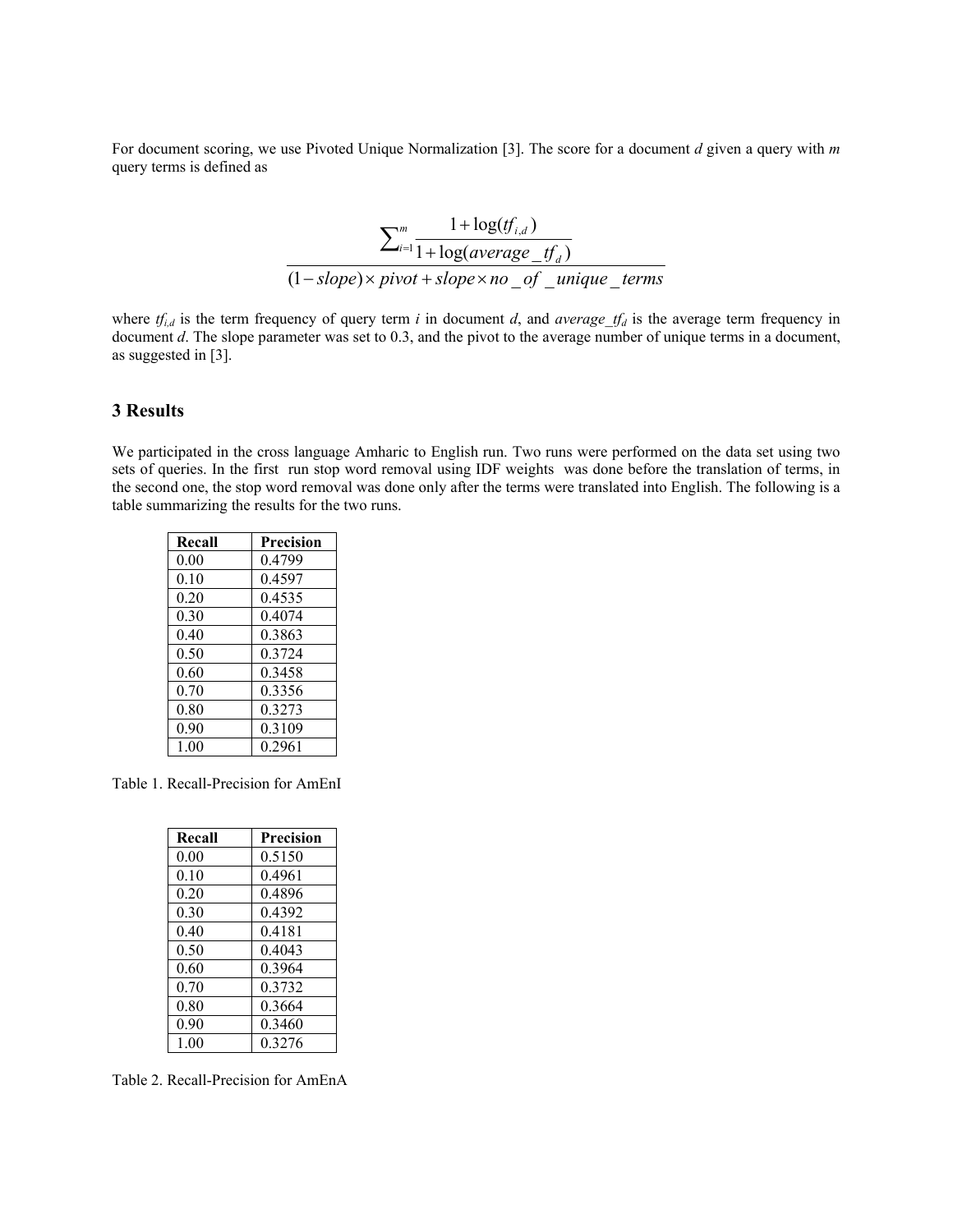For document scoring, we use Pivoted Unique Normalization [3]. The score for a document *d* given a query with *m* query terms is defined as

$$
\frac{\sum_{i=1}^{m} \frac{1 + \log(t_{i,d})}{1 + \log(average\_tf_a)}}{(1 - slope) \times pivot + slope \times no\_of\_unique\_terms}
$$

where  $tf_{i,d}$  is the term frequency of query term *i* in document *d*, and *average\_tf<sub>d</sub>* is the average term frequency in document *d*. The slope parameter was set to 0.3, and the pivot to the average number of unique terms in a document, as suggested in [3].

#### **3 Results**

We participated in the cross language Amharic to English run. Two runs were performed on the data set using two sets of queries. In the first run stop word removal using IDF weights was done before the translation of terms, in the second one, the stop word removal was done only after the terms were translated into English. The following is a table summarizing the results for the two runs.

| Recall | Precision |
|--------|-----------|
| 0.00   | 0.4799    |
| 0.10   | 0.4597    |
| 0.20   | 0.4535    |
| 0.30   | 0.4074    |
| 0.40   | 0.3863    |
| 0.50   | 0.3724    |
| 0.60   | 0 3458    |
| 0.70   | 0.3356    |
| 0.80   | 0.3273    |
| 0.90   | 0.3109    |
| 1.00   | 0.2961    |

Table 1. Recall-Precision for AmEnI

| Recall | Precision |
|--------|-----------|
| 0.00   | 0.5150    |
| 0.10   | 0.4961    |
| 0.20   | 0.4896    |
| 0.30   | 0.4392    |
| 040    | 0.4181    |
| 0.50   | 0.4043    |
| 0.60   | 0.3964    |
| 0.70   | 0.3732    |
| 0.80   | 0.3664    |
| 0.90   | 0.3460    |
| 100    | 0.3276    |

Table 2. Recall-Precision for AmEnA